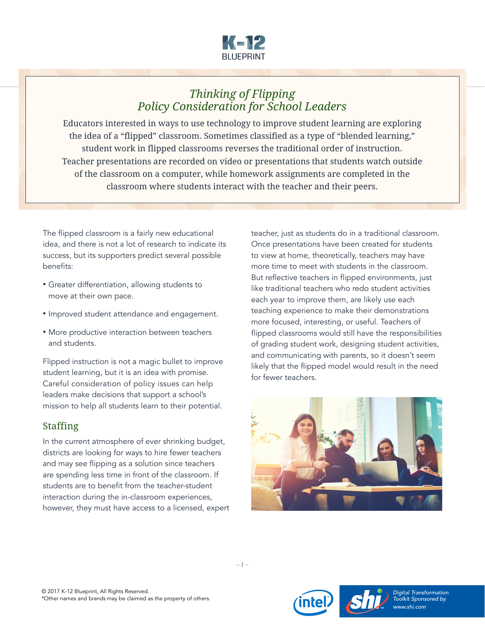

# *Thinking of Flipping Policy Consideration for School Leaders*

Educators interested in ways to use technology to improve student learning are exploring the idea of a "flipped" classroom. Sometimes classified as a type of "blended learning," student work in flipped classrooms reverses the traditional order of instruction. Teacher presentations are recorded on video or presentations that students watch outside of the classroom on a computer, while homework assignments are completed in the classroom where students interact with the teacher and their peers.

The flipped classroom is a fairly new educational idea, and there is not a lot of research to indicate its success, but its supporters predict several possible benefits:

- Greater differentiation, allowing students to move at their own pace.
- Improved student attendance and engagement.
- More productive interaction between teachers and students.

Flipped instruction is not a magic bullet to improve student learning, but it is an idea with promise. Careful consideration of policy issues can help leaders make decisions that support a school's mission to help all students learn to their potential.

#### Staffing

In the current atmosphere of ever shrinking budget, districts are looking for ways to hire fewer teachers and may see flipping as a solution since teachers are spending less time in front of the classroom. If students are to benefit from the teacher-student interaction during the in-classroom experiences, however, they must have access to a licensed, expert teacher, just as students do in a traditional classroom. Once presentations have been created for students to view at home, theoretically, teachers may have more time to meet with students in the classroom. But reflective teachers in flipped environments, just like traditional teachers who redo student activities each year to improve them, are likely use each teaching experience to make their demonstrations more focused, interesting, or useful. Teachers of flipped classrooms would still have the responsibilities of grading student work, designing student activities, and communicating with parents, so it doesn't seem likely that the flipped model would result in the need for fewer teachers.







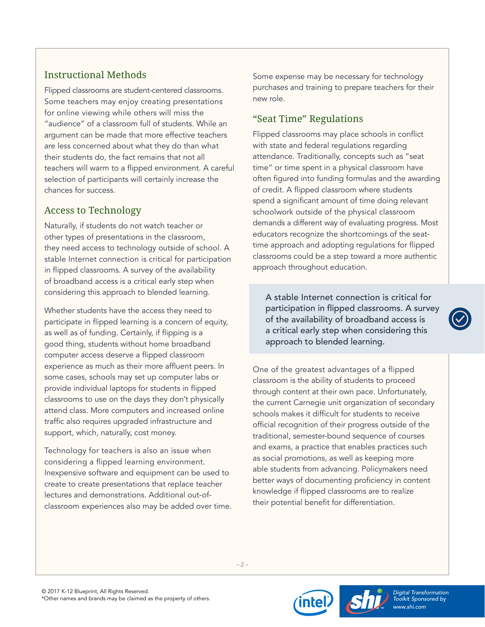## Instructional Methods

Flipped classrooms are student-centered classrooms. Some teachers may enjoy creating presentations for online viewing while others will miss the "audience" of a classroom full of students. While an argument can be made that more effective teachers are less concerned about what they do than what their students do, the fact remains that not all teachers will warm to a flipped environment. A careful selection of participants will certainly increase the chances for success.

## Access to Technology

Naturally, if students do not watch teacher or other types of presentations in the classroom, they need access to technology outside of school. A stable Internet connection is critical for participation in flipped classrooms. A survey of the availability of broadband access is a critical early step when considering this approach to blended learning.

Whether students have the access they need to participate in flipped learning is a concern of equity, as well as of funding. Certainly, if flipping is a good thing, students without home broadband computer access deserve a flipped classroom experience as much as their more affluent peers. In some cases, schools may set up computer labs or provide individual laptops for students in flipped classrooms to use on the days they don't physically attend class. More computers and increased online traffic also requires upgraded infrastructure and support, which, naturally, cost money.

Technology for teachers is also an issue when considering a flipped learning environment. Inexpensive software and equipment can be used to create to create presentations that replace teacher lectures and demonstrations. Additional out-ofclassroom experiences also may be added over time. Some expense may be necessary for technology purchases and training to prepare teachers for their new role.

## "Seat Time" Regulations

Flipped classrooms may place schools in conflict with state and federal regulations regarding attendance. Traditionally, concepts such as "seat time" or time spent in a physical classroom have often figured into funding formulas and the awarding of credit. A flipped classroom where students spend a significant amount of time doing relevant schoolwork outside of the physical classroom demands a different way of evaluating progress. Most educators recognize the shortcomings of the seattime approach and adopting regulations for flipped classrooms could be a step toward a more authentic approach throughout education.

A stable Internet connection is critical for participation in flipped classrooms. A survey of the availability of broadband access is a critical early step when considering this approach to blended learning.

One of the greatest advantages of a flipped classroom is the ability of students to proceed through content at their own pace. Unfortunately, the current Carnegie unit organization of secondary schools makes it difficult for students to receive official recognition of their progress outside of the traditional, semester-bound sequence of courses and exams, a practice that enables practices such as social promotions, as well as keeping more able students from advancing. Policymakers need better ways of documenting proficiency in content knowledge if flipped classrooms are to realize their potential benefit for differentiation.

*– 2 –*